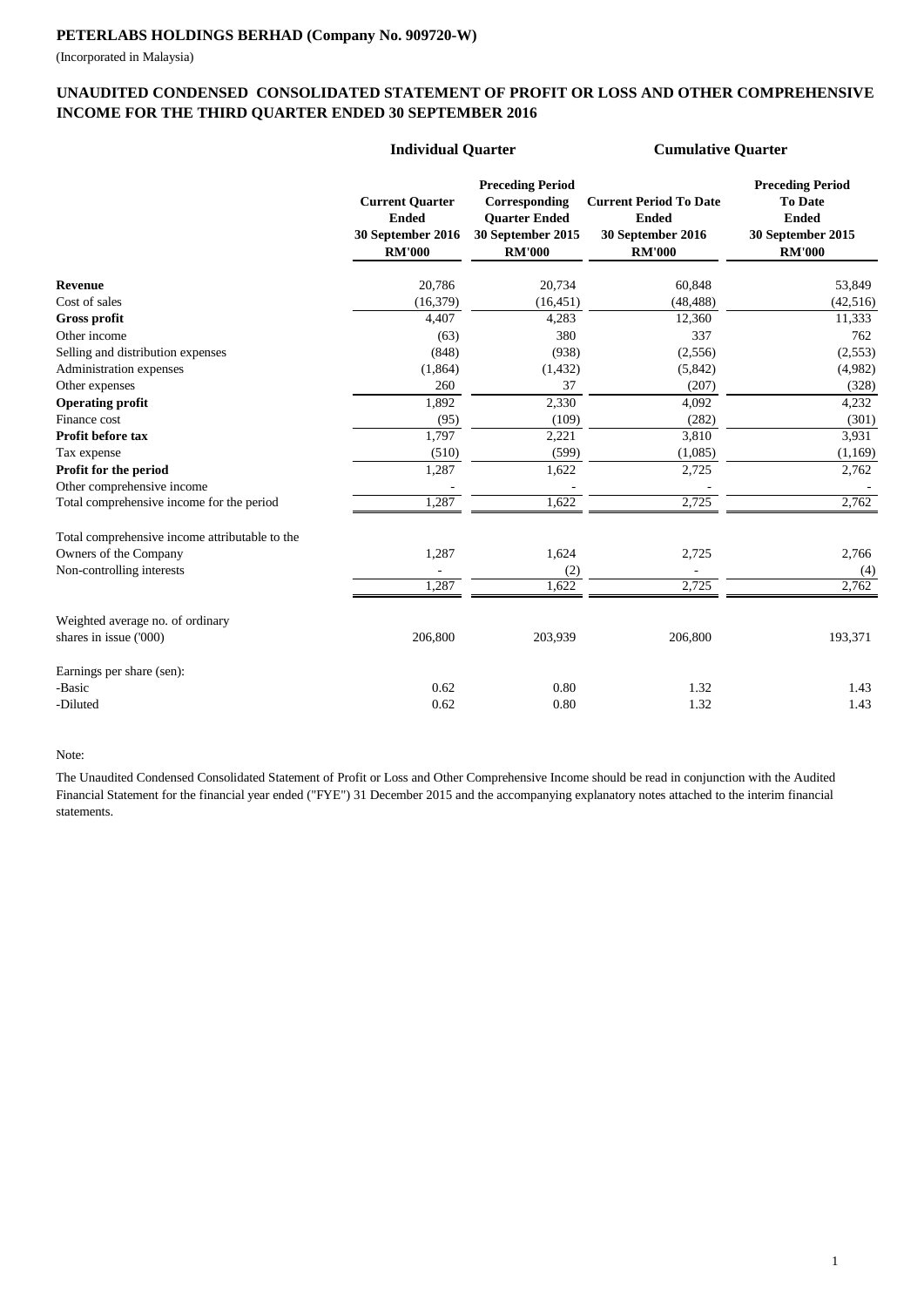(Incorporated in Malaysia)

|                                                | <b>Individual Quarter</b>                                                    |                                                                                                               | <b>Cumulative Quarter</b>                                                           |                                                                                                 |  |
|------------------------------------------------|------------------------------------------------------------------------------|---------------------------------------------------------------------------------------------------------------|-------------------------------------------------------------------------------------|-------------------------------------------------------------------------------------------------|--|
|                                                | <b>Current Quarter</b><br><b>Ended</b><br>30 September 2016<br><b>RM'000</b> | <b>Preceding Period</b><br>Corresponding<br><b>Quarter Ended</b><br><b>30 September 2015</b><br><b>RM'000</b> | <b>Current Period To Date</b><br><b>Ended</b><br>30 September 2016<br><b>RM'000</b> | <b>Preceding Period</b><br><b>To Date</b><br><b>Ended</b><br>30 September 2015<br><b>RM'000</b> |  |
| <b>Revenue</b>                                 | 20,786                                                                       | 20,734                                                                                                        | 60,848                                                                              | 53,849                                                                                          |  |
| Cost of sales                                  | (16, 379)                                                                    | (16, 451)                                                                                                     | (48, 488)                                                                           | (42, 516)                                                                                       |  |
| <b>Gross profit</b>                            | 4,407                                                                        | 4,283                                                                                                         | 12,360                                                                              | 11,333                                                                                          |  |
| Other income                                   | (63)                                                                         | 380                                                                                                           | 337                                                                                 | 762                                                                                             |  |
| Selling and distribution expenses              | (848)                                                                        | (938)                                                                                                         | (2,556)                                                                             | (2,553)                                                                                         |  |
| Administration expenses                        | (1,864)                                                                      | (1, 432)                                                                                                      | (5,842)                                                                             | (4,982)                                                                                         |  |
| Other expenses                                 | 260                                                                          | 37                                                                                                            | (207)                                                                               | (328)                                                                                           |  |
| <b>Operating profit</b>                        | 1,892                                                                        | 2,330                                                                                                         | 4,092                                                                               | 4,232                                                                                           |  |
| Finance cost                                   | (95)                                                                         | (109)                                                                                                         | (282)                                                                               | (301)                                                                                           |  |
| Profit before tax                              | 1,797                                                                        | 2,221                                                                                                         | 3,810                                                                               | 3,931                                                                                           |  |
| Tax expense                                    | (510)                                                                        | (599)                                                                                                         | (1,085)                                                                             | (1,169)                                                                                         |  |
| Profit for the period                          | 1,287                                                                        | 1,622                                                                                                         | 2,725                                                                               | 2,762                                                                                           |  |
| Other comprehensive income                     |                                                                              |                                                                                                               |                                                                                     |                                                                                                 |  |
| Total comprehensive income for the period      | 1,287                                                                        | 1,622                                                                                                         | 2,725                                                                               | 2,762                                                                                           |  |
| Total comprehensive income attributable to the |                                                                              |                                                                                                               |                                                                                     |                                                                                                 |  |
| Owners of the Company                          | 1,287                                                                        | 1,624                                                                                                         | 2,725                                                                               | 2,766                                                                                           |  |
| Non-controlling interests                      |                                                                              | (2)                                                                                                           |                                                                                     | (4)                                                                                             |  |
|                                                | 1,287                                                                        | 1,622                                                                                                         | 2,725                                                                               | 2,762                                                                                           |  |
| Weighted average no. of ordinary               |                                                                              |                                                                                                               |                                                                                     |                                                                                                 |  |
| shares in issue ('000)                         | 206,800                                                                      | 203,939                                                                                                       | 206,800                                                                             | 193,371                                                                                         |  |
| Earnings per share (sen):                      |                                                                              |                                                                                                               |                                                                                     |                                                                                                 |  |
| -Basic                                         | 0.62                                                                         | 0.80                                                                                                          | 1.32                                                                                | 1.43                                                                                            |  |
| -Diluted                                       | 0.62                                                                         | $0.80\,$                                                                                                      | 1.32                                                                                | 1.43                                                                                            |  |

## **UNAUDITED CONDENSED CONSOLIDATED STATEMENT OF PROFIT OR LOSS AND OTHER COMPREHENSIVE INCOME FOR THE THIRD QUARTER ENDED 30 SEPTEMBER 2016**

Note:

## **PETERLABS HOLDINGS BERHAD (Company No. 909720-W)**

The Unaudited Condensed Consolidated Statement of Profit or Loss and Other Comprehensive Income should be read in conjunction with the Audited Financial Statement for the financial year ended ("FYE") 31 December 2015 and the accompanying explanatory notes attached to the interim financial statements.

 $1\,$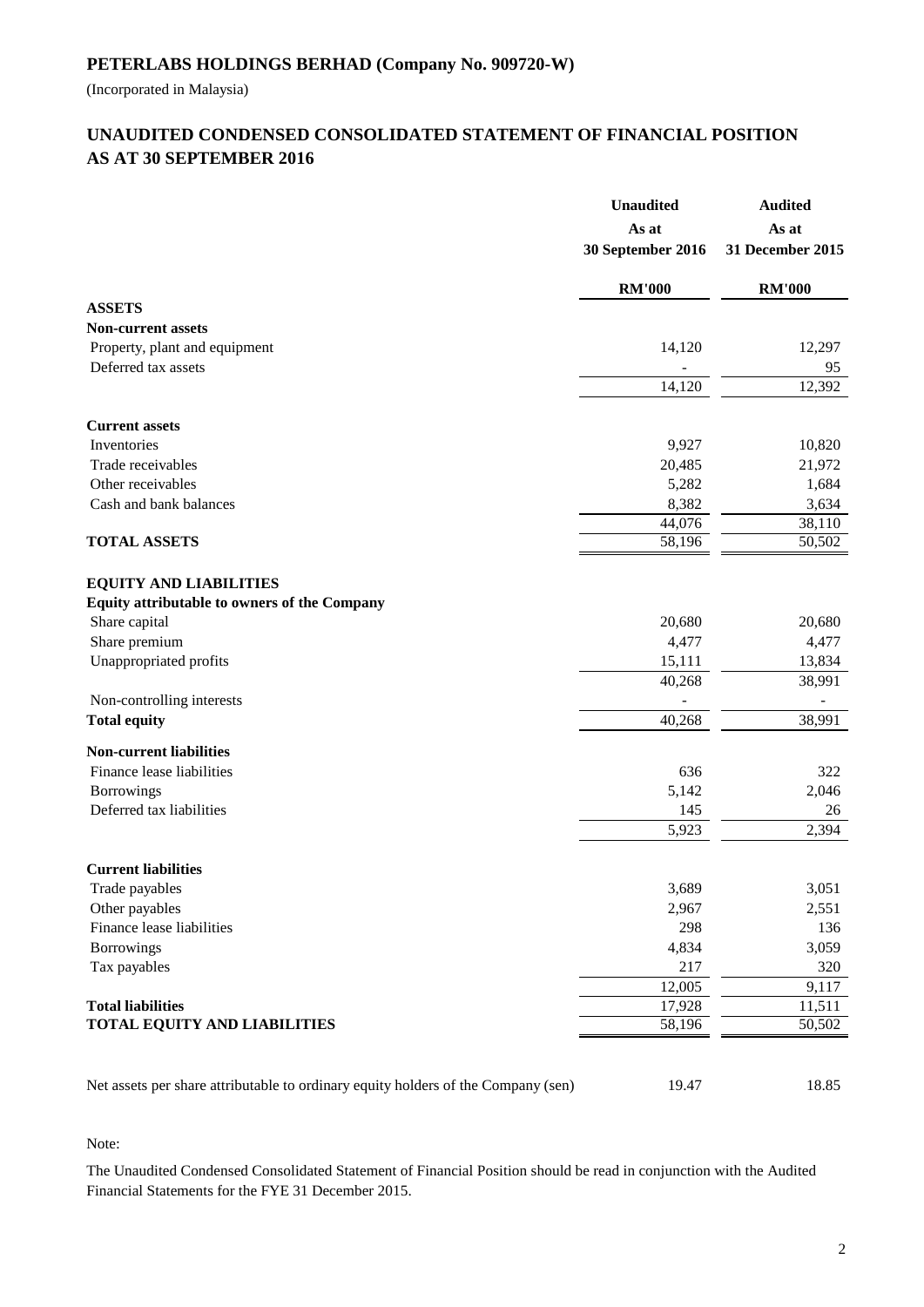(Incorporated in Malaysia)

## **AS AT 30 SEPTEMBER 2016 UNAUDITED CONDENSED CONSOLIDATED STATEMENT OF FINANCIAL POSITION**

|                                                                                   | <b>Unaudited</b><br>As at<br>30 September 2016 | <b>Audited</b><br>As at<br>31 December 2015 |
|-----------------------------------------------------------------------------------|------------------------------------------------|---------------------------------------------|
|                                                                                   | <b>RM'000</b>                                  | <b>RM'000</b>                               |
| <b>ASSETS</b>                                                                     |                                                |                                             |
| <b>Non-current assets</b>                                                         |                                                |                                             |
| Property, plant and equipment                                                     | 14,120                                         | 12,297                                      |
| Deferred tax assets                                                               |                                                | 95                                          |
|                                                                                   | 14,120                                         | 12,392                                      |
| <b>Current assets</b>                                                             |                                                |                                             |
| Inventories                                                                       | 9,927                                          | 10,820                                      |
| Trade receivables                                                                 | 20,485                                         | 21,972                                      |
| Other receivables                                                                 | 5,282                                          | 1,684                                       |
| Cash and bank balances                                                            | 8,382                                          | 3,634                                       |
|                                                                                   | 44,076                                         | 38,110                                      |
| <b>TOTAL ASSETS</b>                                                               | 58,196                                         | 50,502                                      |
| <b>EQUITY AND LIABILITIES</b><br>Equity attributable to owners of the Company     |                                                |                                             |
| Share capital                                                                     | 20,680                                         | 20,680                                      |
| Share premium                                                                     | 4,477                                          | 4,477                                       |
| Unappropriated profits                                                            | 15,111                                         | 13,834                                      |
|                                                                                   | 40,268                                         | 38,991                                      |
| Non-controlling interests                                                         |                                                |                                             |
| <b>Total equity</b>                                                               | 40,268                                         | 38,991                                      |
| <b>Non-current liabilities</b>                                                    |                                                |                                             |
| Finance lease liabilities                                                         | 636                                            | 322                                         |
| Borrowings                                                                        | 5,142                                          | 2,046                                       |
| Deferred tax liabilities                                                          | 145                                            | 26                                          |
|                                                                                   | 5,923                                          | 2,394                                       |
| <b>Current liabilities</b>                                                        |                                                |                                             |
| Trade payables                                                                    | 3,689                                          | 3,051                                       |
| Other payables                                                                    | 2,967                                          | 2,551                                       |
| Finance lease liabilities                                                         | 298                                            | 136                                         |
| <b>Borrowings</b>                                                                 | 4,834                                          | 3,059                                       |
| Tax payables                                                                      | 217                                            | 320                                         |
|                                                                                   | 12,005                                         | 9,117                                       |
| <b>Total liabilities</b>                                                          | 17,928                                         | 11,511                                      |
| <b>TOTAL EQUITY AND LIABILITIES</b>                                               | 58,196                                         | 50,502                                      |
|                                                                                   |                                                |                                             |
| Net assets per share attributable to ordinary equity holders of the Company (sen) | 19.47                                          | 18.85                                       |

Note:

The Unaudited Condensed Consolidated Statement of Financial Position should be read in conjunction with the Audited Financial Statements for the FYE 31 December 2015.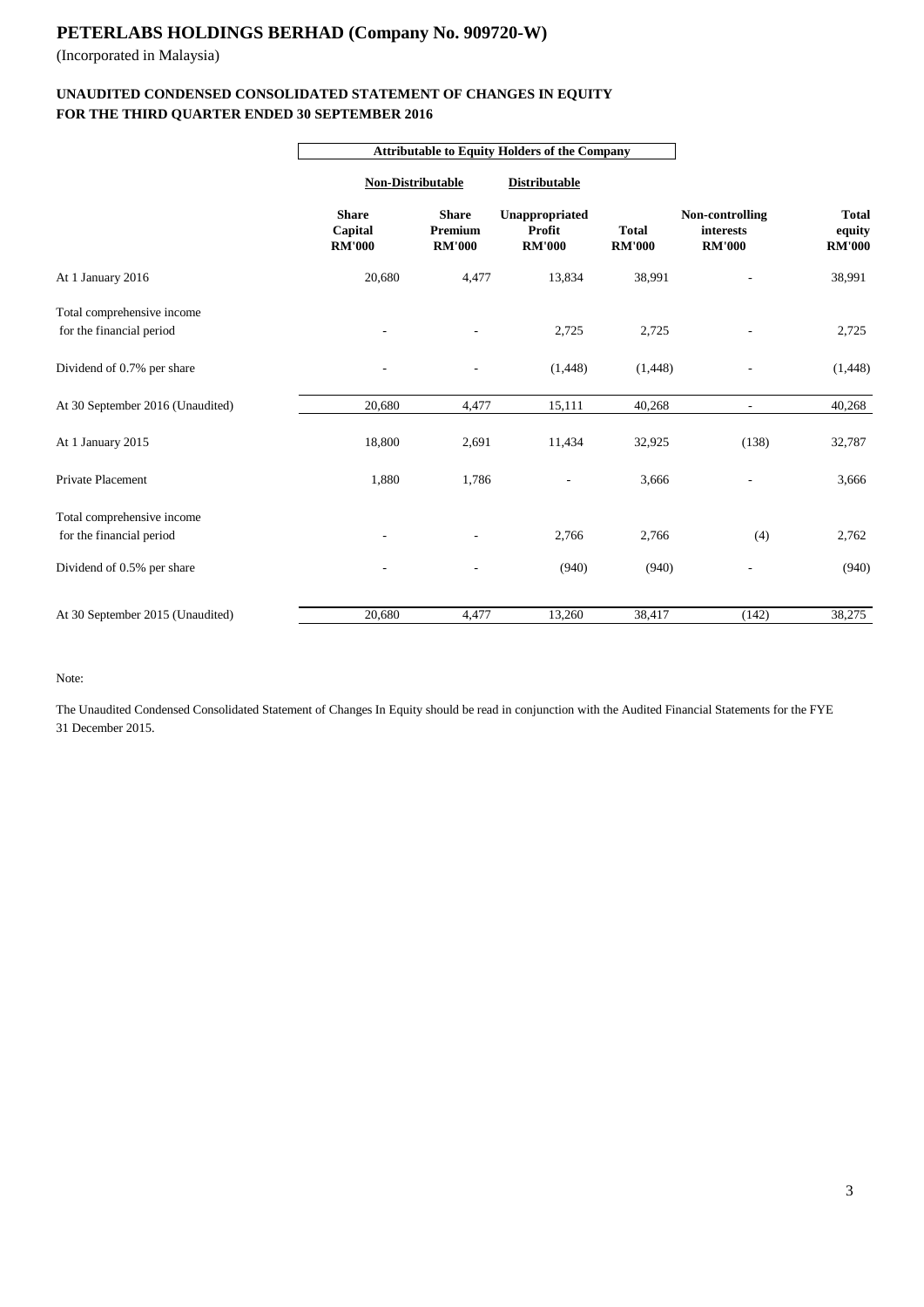(Incorporated in Malaysia)

## **FOR THE THIRD QUARTER ENDED 30 SEPTEMBER 2016 UNAUDITED CONDENSED CONSOLIDATED STATEMENT OF CHANGES IN EQUITY**

|                                                        | <b>Attributable to Equity Holders of the Company</b> |                                          |                                           |                               |                                               |                                         |  |
|--------------------------------------------------------|------------------------------------------------------|------------------------------------------|-------------------------------------------|-------------------------------|-----------------------------------------------|-----------------------------------------|--|
|                                                        | <b>Non-Distributable</b>                             |                                          | <b>Distributable</b>                      |                               |                                               |                                         |  |
|                                                        | <b>Share</b><br>Capital<br><b>RM'000</b>             | <b>Share</b><br>Premium<br><b>RM'000</b> | Unappropriated<br>Profit<br><b>RM'000</b> | <b>Total</b><br><b>RM'000</b> | Non-controlling<br>interests<br><b>RM'000</b> | <b>Total</b><br>equity<br><b>RM'000</b> |  |
| At 1 January 2016                                      | 20,680                                               | 4,477                                    | 13,834                                    | 38,991                        |                                               | 38,991                                  |  |
| Total comprehensive income<br>for the financial period |                                                      |                                          | 2,725                                     | 2,725                         |                                               | 2,725                                   |  |
| Dividend of 0.7% per share                             |                                                      |                                          | (1,448)                                   | (1, 448)                      |                                               | (1, 448)                                |  |
| At 30 September 2016 (Unaudited)                       | 20,680                                               | 4,477                                    | 15,111                                    | 40,268                        | $\blacksquare$                                | 40,268                                  |  |
| At 1 January 2015                                      | 18,800                                               | 2,691                                    | 11,434                                    | 32,925                        | (138)                                         | 32,787                                  |  |
| Private Placement                                      | 1,880                                                | 1,786                                    | $\overline{a}$                            | 3,666                         |                                               | 3,666                                   |  |
| Total comprehensive income<br>for the financial period |                                                      |                                          | 2,766                                     | 2,766                         | (4)                                           | 2,762                                   |  |
| Dividend of 0.5% per share                             |                                                      | $\overline{\phantom{a}}$                 | (940)                                     | (940)                         |                                               | (940)                                   |  |
| At 30 September 2015 (Unaudited)                       | 20,680                                               | 4,477                                    | 13,260                                    | 38,417                        | (142)                                         | 38,275                                  |  |

Note:

The Unaudited Condensed Consolidated Statement of Changes In Equity should be read in conjunction with the Audited Financial Statements for the FYE 31 December 2015.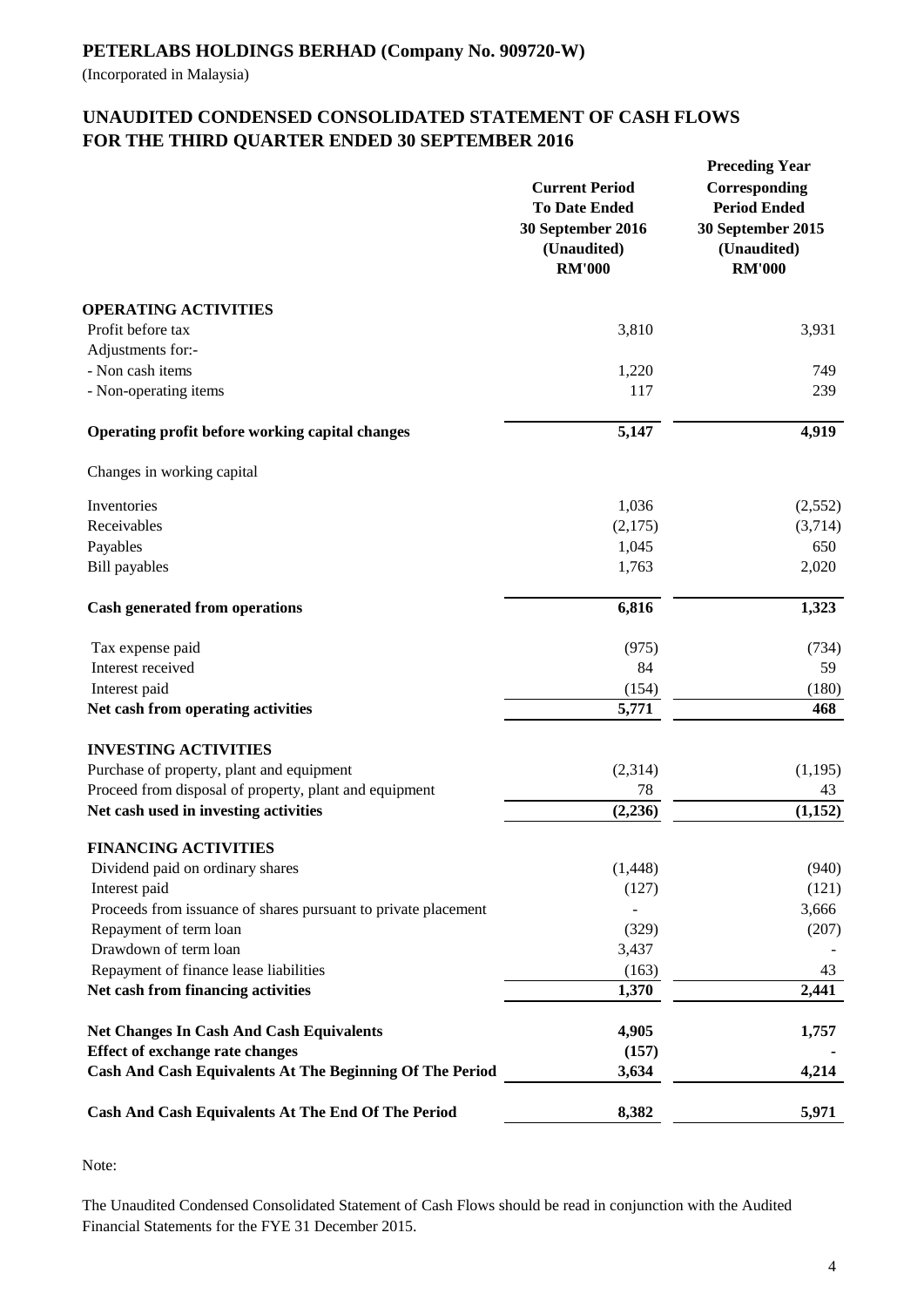(Incorporated in Malaysia)

## **UNAUDITED CONDENSED CONSOLIDATED STATEMENT OF CASH FLOWS FOR THE THIRD QUARTER ENDED 30 SEPTEMBER 2016**

|                                                                              | <b>Current Period</b><br><b>To Date Ended</b><br>30 September 2016<br>(Unaudited)<br><b>RM'000</b> | <b>Preceding Year</b><br>Corresponding<br><b>Period Ended</b><br>30 September 2015<br>(Unaudited)<br><b>RM'000</b> |
|------------------------------------------------------------------------------|----------------------------------------------------------------------------------------------------|--------------------------------------------------------------------------------------------------------------------|
| <b>OPERATING ACTIVITIES</b>                                                  |                                                                                                    |                                                                                                                    |
| Profit before tax                                                            | 3,810                                                                                              | 3,931                                                                                                              |
| Adjustments for:-<br>- Non cash items                                        | 1,220                                                                                              | 749                                                                                                                |
| - Non-operating items                                                        | 117                                                                                                | 239                                                                                                                |
| <b>Operating profit before working capital changes</b>                       | 5,147                                                                                              | 4,919                                                                                                              |
| Changes in working capital                                                   |                                                                                                    |                                                                                                                    |
| Inventories                                                                  | 1,036                                                                                              | (2,552)                                                                                                            |
| Receivables                                                                  | (2,175)                                                                                            | (3,714)                                                                                                            |
| Payables                                                                     | 1,045                                                                                              | 650                                                                                                                |
| <b>Bill</b> payables                                                         | 1,763                                                                                              | 2,020                                                                                                              |
| <b>Cash generated from operations</b>                                        | 6,816                                                                                              | 1,323                                                                                                              |
| Tax expense paid                                                             | (975)                                                                                              | (734)                                                                                                              |
| Interest received                                                            | 84                                                                                                 | 59                                                                                                                 |
| Interest paid                                                                | (154)                                                                                              | (180)                                                                                                              |
| Net cash from operating activities                                           | 5,771                                                                                              | 468                                                                                                                |
| <b>INVESTING ACTIVITIES</b>                                                  |                                                                                                    |                                                                                                                    |
| Purchase of property, plant and equipment                                    | (2,314)                                                                                            | (1,195)                                                                                                            |
| Proceed from disposal of property, plant and equipment                       | 78                                                                                                 | 43                                                                                                                 |
| Net cash used in investing activities                                        | (2, 236)                                                                                           | (1,152)                                                                                                            |
| <b>FINANCING ACTIVITIES</b>                                                  |                                                                                                    |                                                                                                                    |
| Dividend paid on ordinary shares                                             | (1,448)                                                                                            | (940)                                                                                                              |
| Interest paid                                                                | (127)                                                                                              | (121)                                                                                                              |
| Proceeds from issuance of shares pursuant to private placement               |                                                                                                    | 3,666                                                                                                              |
| Repayment of term loan                                                       | (329)                                                                                              | (207)                                                                                                              |
| Drawdown of term loan                                                        | 3,437                                                                                              | 43                                                                                                                 |
| Repayment of finance lease liabilities<br>Net cash from financing activities | (163)<br>1,370                                                                                     | 2,441                                                                                                              |
|                                                                              |                                                                                                    |                                                                                                                    |
| <b>Net Changes In Cash And Cash Equivalents</b>                              | 4,905                                                                                              | 1,757                                                                                                              |
| <b>Effect of exchange rate changes</b>                                       | (157)                                                                                              |                                                                                                                    |
| Cash And Cash Equivalents At The Beginning Of The Period                     | 3,634                                                                                              | 4,214                                                                                                              |
| Cash And Cash Equivalents At The End Of The Period                           | 8,382                                                                                              | 5,971                                                                                                              |
|                                                                              |                                                                                                    |                                                                                                                    |

Note:

The Unaudited Condensed Consolidated Statement of Cash Flows should be read in conjunction with the Audited Financial Statements for the FYE 31 December 2015.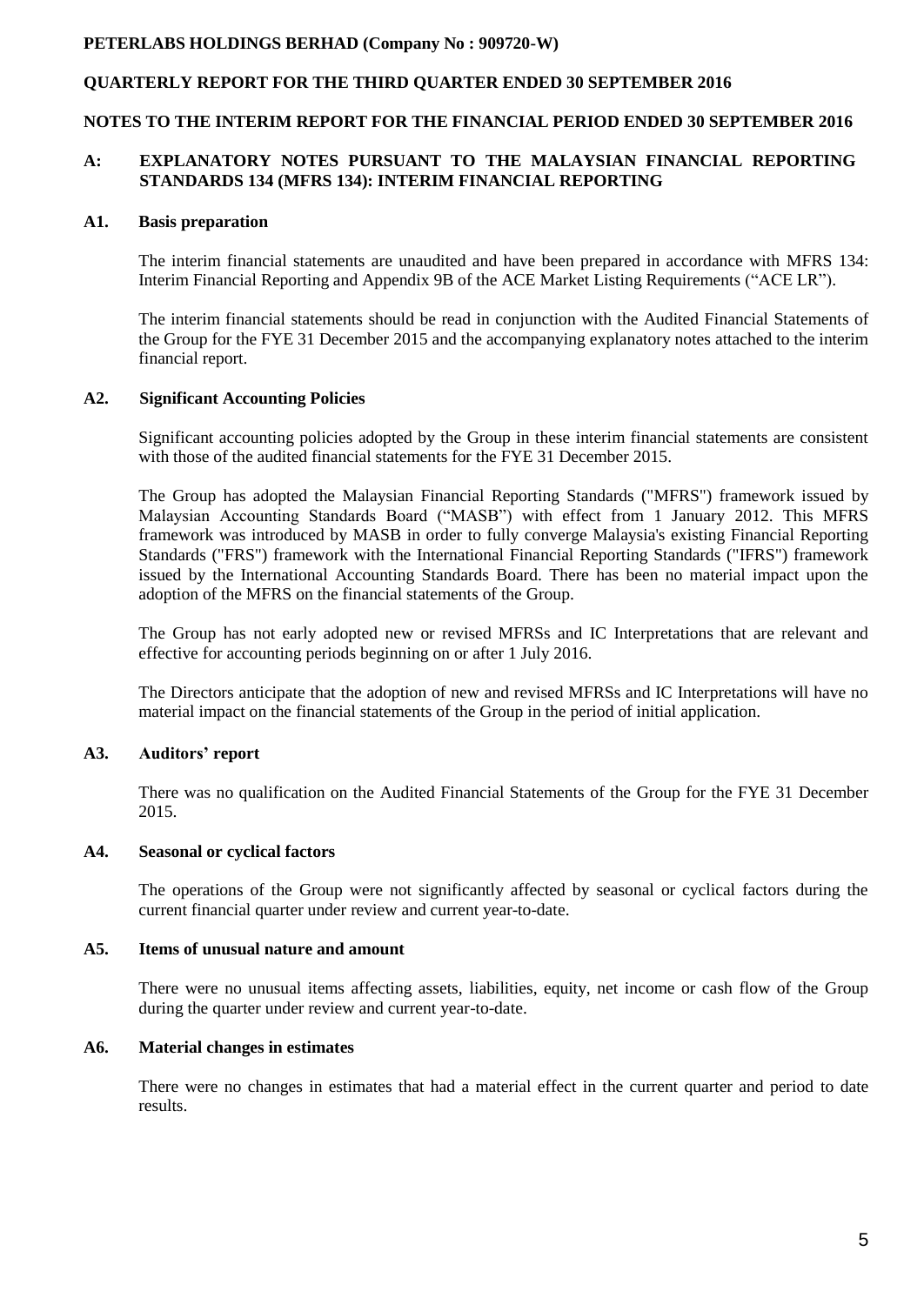## **QUARTERLY REPORT FOR THE THIRD QUARTER ENDED 30 SEPTEMBER 2016**

#### **NOTES TO THE INTERIM REPORT FOR THE FINANCIAL PERIOD ENDED 30 SEPTEMBER 2016**

## **A: EXPLANATORY NOTES PURSUANT TO THE MALAYSIAN FINANCIAL REPORTING STANDARDS 134 (MFRS 134): INTERIM FINANCIAL REPORTING**

#### **A1. Basis preparation**

The interim financial statements are unaudited and have been prepared in accordance with MFRS 134: Interim Financial Reporting and Appendix 9B of the ACE Market Listing Requirements ("ACE LR").

The interim financial statements should be read in conjunction with the Audited Financial Statements of the Group for the FYE 31 December 2015 and the accompanying explanatory notes attached to the interim financial report.

## **A2. Significant Accounting Policies**

Significant accounting policies adopted by the Group in these interim financial statements are consistent with those of the audited financial statements for the FYE 31 December 2015.

The Group has adopted the Malaysian Financial Reporting Standards ("MFRS") framework issued by Malaysian Accounting Standards Board ("MASB") with effect from 1 January 2012. This MFRS framework was introduced by MASB in order to fully converge Malaysia's existing Financial Reporting Standards ("FRS") framework with the International Financial Reporting Standards ("IFRS") framework issued by the International Accounting Standards Board. There has been no material impact upon the adoption of the MFRS on the financial statements of the Group.

The Group has not early adopted new or revised MFRSs and IC Interpretations that are relevant and effective for accounting periods beginning on or after 1 July 2016.

The Directors anticipate that the adoption of new and revised MFRSs and IC Interpretations will have no material impact on the financial statements of the Group in the period of initial application.

#### **A3. Auditors' report**

There was no qualification on the Audited Financial Statements of the Group for the FYE 31 December 2015.

#### **A4. Seasonal or cyclical factors**

The operations of the Group were not significantly affected by seasonal or cyclical factors during the current financial quarter under review and current year-to-date.

#### **A5. Items of unusual nature and amount**

There were no unusual items affecting assets, liabilities, equity, net income or cash flow of the Group during the quarter under review and current year-to-date.

## **A6. Material changes in estimates**

There were no changes in estimates that had a material effect in the current quarter and period to date results.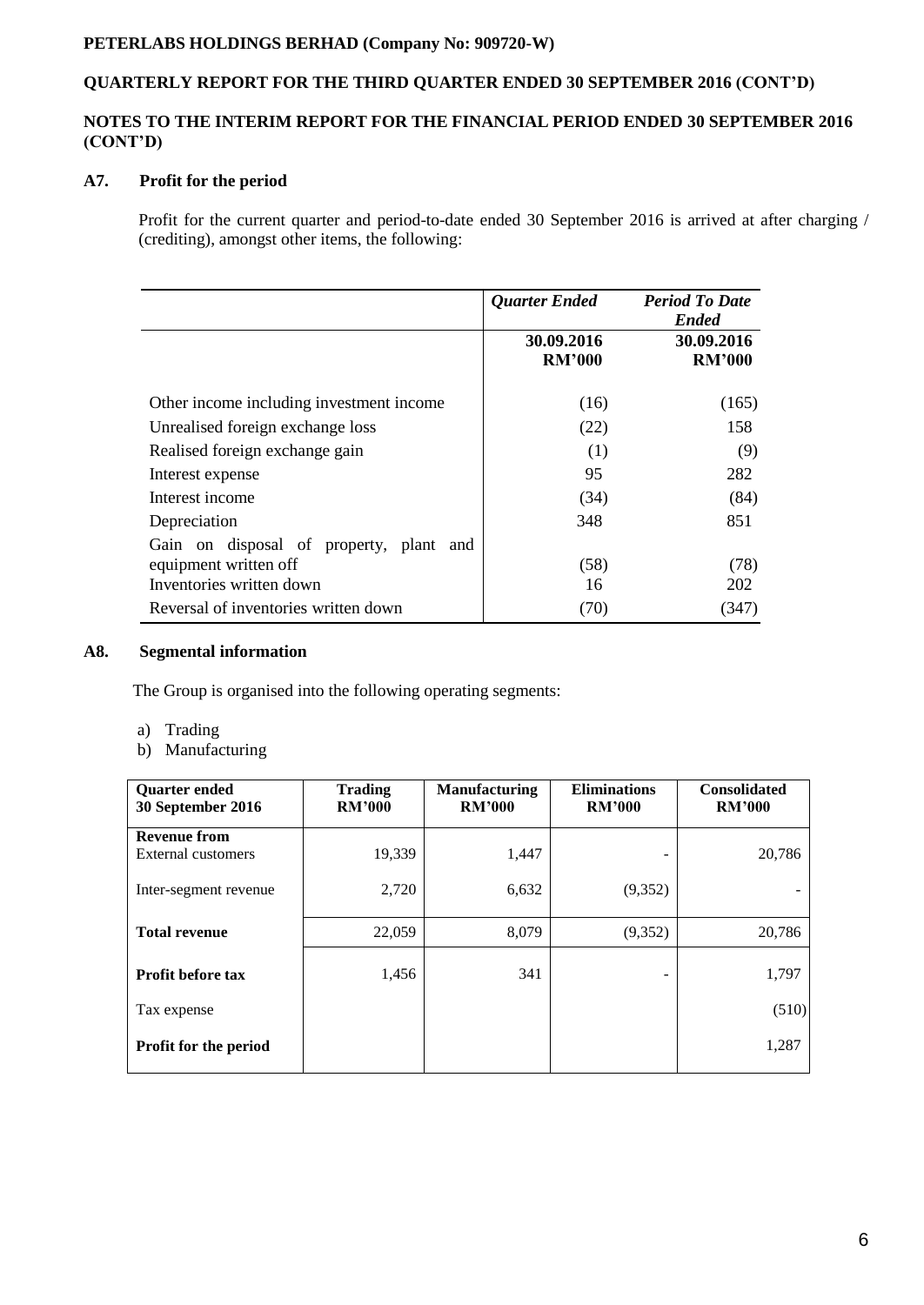## **QUARTERLY REPORT FOR THE THIRD QUARTER ENDED 30 SEPTEMBER 2016 (CONT'D)**

## **NOTES TO THE INTERIM REPORT FOR THE FINANCIAL PERIOD ENDED 30 SEPTEMBER 2016 (CONT'D)**

## **A7. Profit for the period**

Profit for the current quarter and period-to-date ended 30 September 2016 is arrived at after charging / (crediting), amongst other items, the following:

|                                            | <b>Quarter Ended</b>        | <b>Period To Date</b><br><b>Ended</b> |
|--------------------------------------------|-----------------------------|---------------------------------------|
|                                            | 30.09.2016<br><b>RM'000</b> | 30.09.2016<br><b>RM'000</b>           |
| Other income including investment income   | (16)                        | (165)                                 |
| Unrealised foreign exchange loss           | (22)                        | 158                                   |
| Realised foreign exchange gain             | (1)                         | (9)                                   |
| Interest expense                           | 95                          | 282                                   |
| Interest income                            | (34)                        | (84)                                  |
| Depreciation                               | 348                         | 851                                   |
| Gain on disposal of property, plant<br>and |                             |                                       |
| equipment written off                      | (58)                        | (78)                                  |
| Inventories written down                   | 16                          | 202                                   |
| Reversal of inventories written down       | (70)                        | (347)                                 |

#### **A8. Segmental information**

The Group is organised into the following operating segments:

- a) Trading
- b) Manufacturing

| <b>Quarter ended</b><br>30 September 2016 | <b>Trading</b><br><b>RM'000</b> | <b>Manufacturing</b><br><b>RM'000</b> | <b>Eliminations</b><br><b>RM'000</b> | <b>Consolidated</b><br><b>RM'000</b> |
|-------------------------------------------|---------------------------------|---------------------------------------|--------------------------------------|--------------------------------------|
| <b>Revenue from</b>                       |                                 |                                       |                                      |                                      |
| External customers                        | 19,339                          | 1,447                                 |                                      | 20,786                               |
| Inter-segment revenue                     | 2,720                           | 6,632                                 | (9, 352)                             |                                      |
| <b>Total revenue</b>                      | 22,059                          | 8,079                                 | (9, 352)                             | 20,786                               |
| <b>Profit before tax</b>                  | 1,456                           | 341                                   |                                      | 1,797                                |
| Tax expense                               |                                 |                                       |                                      | (510)                                |
| Profit for the period                     |                                 |                                       |                                      | 1,287                                |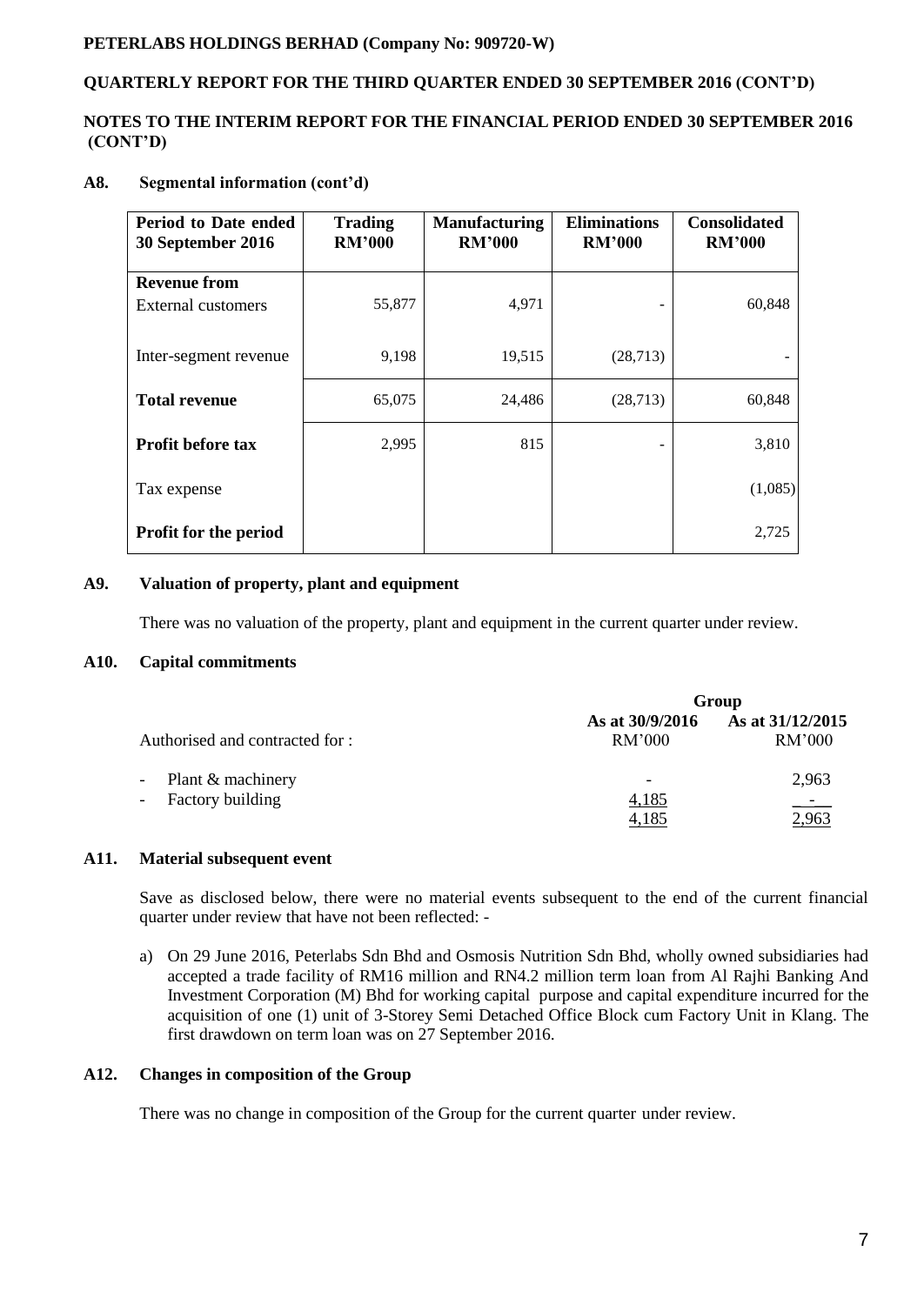## **QUARTERLY REPORT FOR THE THIRD QUARTER ENDED 30 SEPTEMBER 2016 (CONT'D)**

## **NOTES TO THE INTERIM REPORT FOR THE FINANCIAL PERIOD ENDED 30 SEPTEMBER 2016 (CONT'D)**

## **A8. Segmental information (cont'd)**

| Period to Date ended<br>30 September 2016 | <b>Trading</b><br><b>RM'000</b> | <b>Manufacturing</b><br><b>RM'000</b> | <b>Eliminations</b><br><b>RM'000</b> | <b>Consolidated</b><br><b>RM'000</b> |
|-------------------------------------------|---------------------------------|---------------------------------------|--------------------------------------|--------------------------------------|
| <b>Revenue from</b>                       |                                 |                                       |                                      |                                      |
| External customers                        | 55,877                          | 4,971                                 |                                      | 60,848                               |
| Inter-segment revenue                     | 9,198                           | 19,515                                | (28, 713)                            |                                      |
| <b>Total revenue</b>                      | 65,075                          | 24,486                                | (28, 713)                            | 60,848                               |
| <b>Profit before tax</b>                  | 2,995                           | 815                                   |                                      | 3,810                                |
| Tax expense                               |                                 |                                       |                                      | (1,085)                              |
| <b>Profit for the period</b>              |                                 |                                       |                                      | 2,725                                |

## **A9. Valuation of property, plant and equipment**

There was no valuation of the property, plant and equipment in the current quarter under review.

#### **A10. Capital commitments**

|                                                              | Group                     |                            |  |
|--------------------------------------------------------------|---------------------------|----------------------------|--|
| Authorised and contracted for :                              | As at 30/9/2016<br>RM'000 | As at 31/12/2015<br>RM'000 |  |
| - Plant & machinery<br><b>Factory building</b><br>$\sim$ $-$ | 4,185<br>4,185            | 2,963<br>2,963             |  |

## **A11. Material subsequent event**

Save as disclosed below, there were no material events subsequent to the end of the current financial quarter under review that have not been reflected: -

a) On 29 June 2016, Peterlabs Sdn Bhd and Osmosis Nutrition Sdn Bhd, wholly owned subsidiaries had accepted a trade facility of RM16 million and RN4.2 million term loan from Al Rajhi Banking And Investment Corporation (M) Bhd for working capital purpose and capital expenditure incurred for the acquisition of one (1) unit of 3-Storey Semi Detached Office Block cum Factory Unit in Klang. The first drawdown on term loan was on 27 September 2016.

#### **A12. Changes in composition of the Group**

There was no change in composition of the Group for the current quarter under review.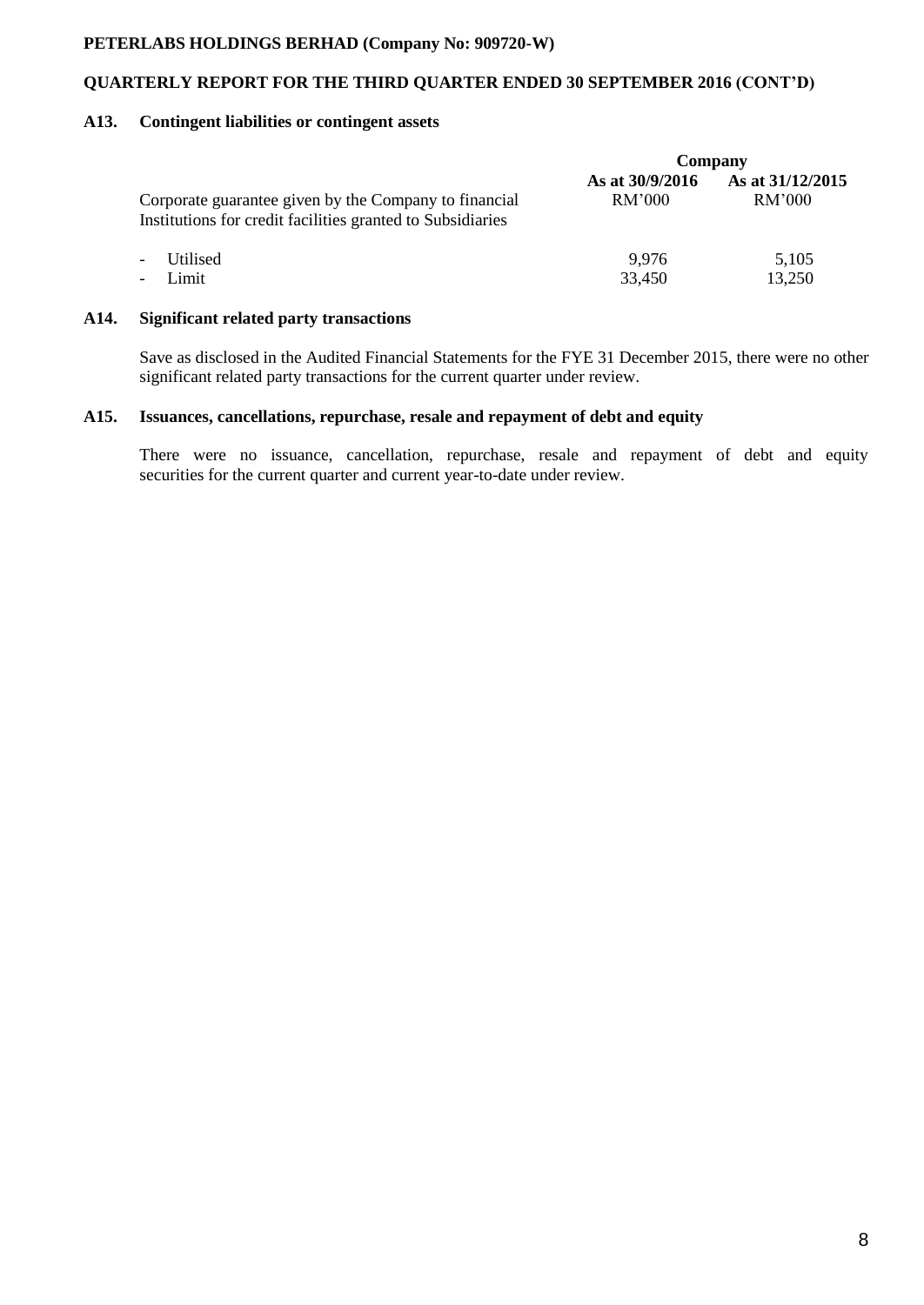## **QUARTERLY REPORT FOR THE THIRD QUARTER ENDED 30 SEPTEMBER 2016 (CONT'D)**

#### **A13. Contingent liabilities or contingent assets**

|                                                                                                                     | Company                   |                            |  |
|---------------------------------------------------------------------------------------------------------------------|---------------------------|----------------------------|--|
| Corporate guarantee given by the Company to financial<br>Institutions for credit facilities granted to Subsidiaries | As at 30/9/2016<br>RM'000 | As at 31/12/2015<br>RM'000 |  |
| Utilised<br>$\overline{\phantom{a}}$                                                                                | 9.976                     | 5,105                      |  |
| Limit<br>$\overline{\phantom{a}}$                                                                                   | 33,450                    | 13,250                     |  |
|                                                                                                                     |                           |                            |  |

## **A14. Significant related party transactions**

Save as disclosed in the Audited Financial Statements for the FYE 31 December 2015, there were no other significant related party transactions for the current quarter under review.

## **A15. Issuances, cancellations, repurchase, resale and repayment of debt and equity**

There were no issuance, cancellation, repurchase, resale and repayment of debt and equity securities for the current quarter and current year-to-date under review.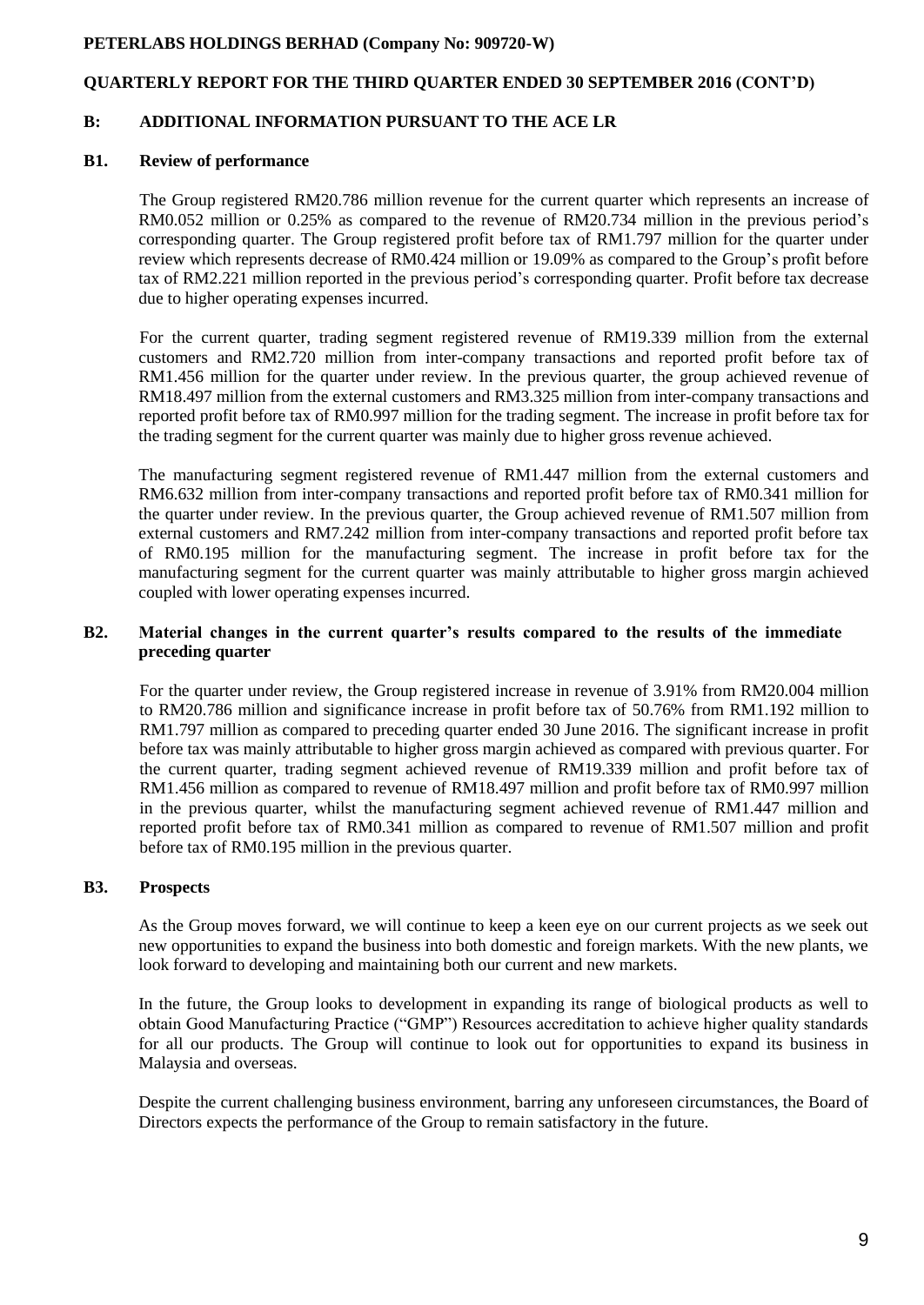## **QUARTERLY REPORT FOR THE THIRD QUARTER ENDED 30 SEPTEMBER 2016 (CONT'D)**

## **B: ADDITIONAL INFORMATION PURSUANT TO THE ACE LR**

#### **B1. Review of performance**

The Group registered RM20.786 million revenue for the current quarter which represents an increase of RM0.052 million or 0.25% as compared to the revenue of RM20.734 million in the previous period's corresponding quarter. The Group registered profit before tax of RM1.797 million for the quarter under review which represents decrease of RM0.424 million or 19.09% as compared to the Group's profit before tax of RM2.221 million reported in the previous period's corresponding quarter. Profit before tax decrease due to higher operating expenses incurred.

For the current quarter, trading segment registered revenue of RM19.339 million from the external customers and RM2.720 million from inter-company transactions and reported profit before tax of RM1.456 million for the quarter under review. In the previous quarter, the group achieved revenue of RM18.497 million from the external customers and RM3.325 million from inter-company transactions and reported profit before tax of RM0.997 million for the trading segment. The increase in profit before tax for the trading segment for the current quarter was mainly due to higher gross revenue achieved.

The manufacturing segment registered revenue of RM1.447 million from the external customers and RM6.632 million from inter-company transactions and reported profit before tax of RM0.341 million for the quarter under review. In the previous quarter, the Group achieved revenue of RM1.507 million from external customers and RM7.242 million from inter-company transactions and reported profit before tax of RM0.195 million for the manufacturing segment. The increase in profit before tax for the manufacturing segment for the current quarter was mainly attributable to higher gross margin achieved coupled with lower operating expenses incurred.

#### **B2. Material changes in the current quarter's results compared to the results of the immediate preceding quarter**

For the quarter under review, the Group registered increase in revenue of 3.91% from RM20.004 million to RM20.786 million and significance increase in profit before tax of 50.76% from RM1.192 million to RM1.797 million as compared to preceding quarter ended 30 June 2016. The significant increase in profit before tax was mainly attributable to higher gross margin achieved as compared with previous quarter. For the current quarter, trading segment achieved revenue of RM19.339 million and profit before tax of RM1.456 million as compared to revenue of RM18.497 million and profit before tax of RM0.997 million in the previous quarter, whilst the manufacturing segment achieved revenue of RM1.447 million and reported profit before tax of RM0.341 million as compared to revenue of RM1.507 million and profit before tax of RM0.195 million in the previous quarter.

#### **B3. Prospects**

As the Group moves forward, we will continue to keep a keen eye on our current projects as we seek out new opportunities to expand the business into both domestic and foreign markets. With the new plants, we look forward to developing and maintaining both our current and new markets.

In the future, the Group looks to development in expanding its range of biological products as well to obtain Good Manufacturing Practice ("GMP") Resources accreditation to achieve higher quality standards for all our products. The Group will continue to look out for opportunities to expand its business in Malaysia and overseas.

Despite the current challenging business environment, barring any unforeseen circumstances, the Board of Directors expects the performance of the Group to remain satisfactory in the future.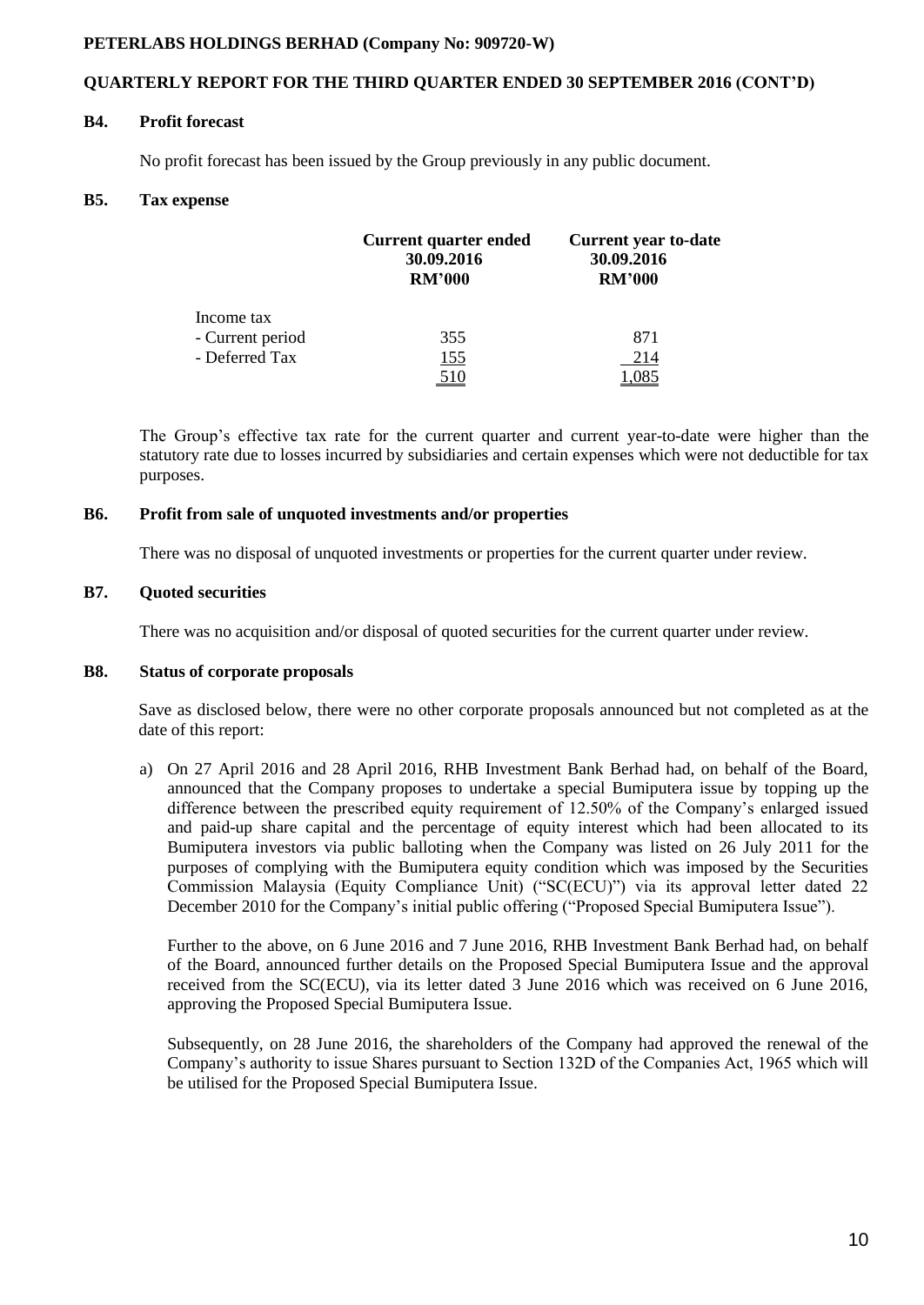## **QUARTERLY REPORT FOR THE THIRD QUARTER ENDED 30 SEPTEMBER 2016 (CONT'D)**

#### **B4. Profit forecast**

No profit forecast has been issued by the Group previously in any public document.

#### **B5. Tax expense**

|                  | Current quarter ended<br>30.09.2016<br><b>RM'000</b> | <b>Current year to-date</b><br>30.09.2016<br><b>RM'000</b> |
|------------------|------------------------------------------------------|------------------------------------------------------------|
| Income tax       |                                                      |                                                            |
| - Current period | 355                                                  | 871                                                        |
| - Deferred Tax   | <u> 155</u>                                          | 214                                                        |
|                  | <u> 10 </u>                                          |                                                            |

The Group's effective tax rate for the current quarter and current year-to-date were higher than the statutory rate due to losses incurred by subsidiaries and certain expenses which were not deductible for tax purposes.

#### **B6. Profit from sale of unquoted investments and/or properties**

There was no disposal of unquoted investments or properties for the current quarter under review.

## **B7. Quoted securities**

There was no acquisition and/or disposal of quoted securities for the current quarter under review.

## **B8. Status of corporate proposals**

Save as disclosed below, there were no other corporate proposals announced but not completed as at the date of this report:

a) On 27 April 2016 and 28 April 2016, RHB Investment Bank Berhad had, on behalf of the Board, announced that the Company proposes to undertake a special Bumiputera issue by topping up the difference between the prescribed equity requirement of 12.50% of the Company's enlarged issued and paid-up share capital and the percentage of equity interest which had been allocated to its Bumiputera investors via public balloting when the Company was listed on 26 July 2011 for the purposes of complying with the Bumiputera equity condition which was imposed by the Securities Commission Malaysia (Equity Compliance Unit) ("SC(ECU)") via its approval letter dated 22 December 2010 for the Company's initial public offering ("Proposed Special Bumiputera Issue").

Further to the above, on 6 June 2016 and 7 June 2016, RHB Investment Bank Berhad had, on behalf of the Board, announced further details on the Proposed Special Bumiputera Issue and the approval received from the SC(ECU), via its letter dated 3 June 2016 which was received on 6 June 2016, approving the Proposed Special Bumiputera Issue.

Subsequently, on 28 June 2016, the shareholders of the Company had approved the renewal of the Company's authority to issue Shares pursuant to Section 132D of the Companies Act, 1965 which will be utilised for the Proposed Special Bumiputera Issue.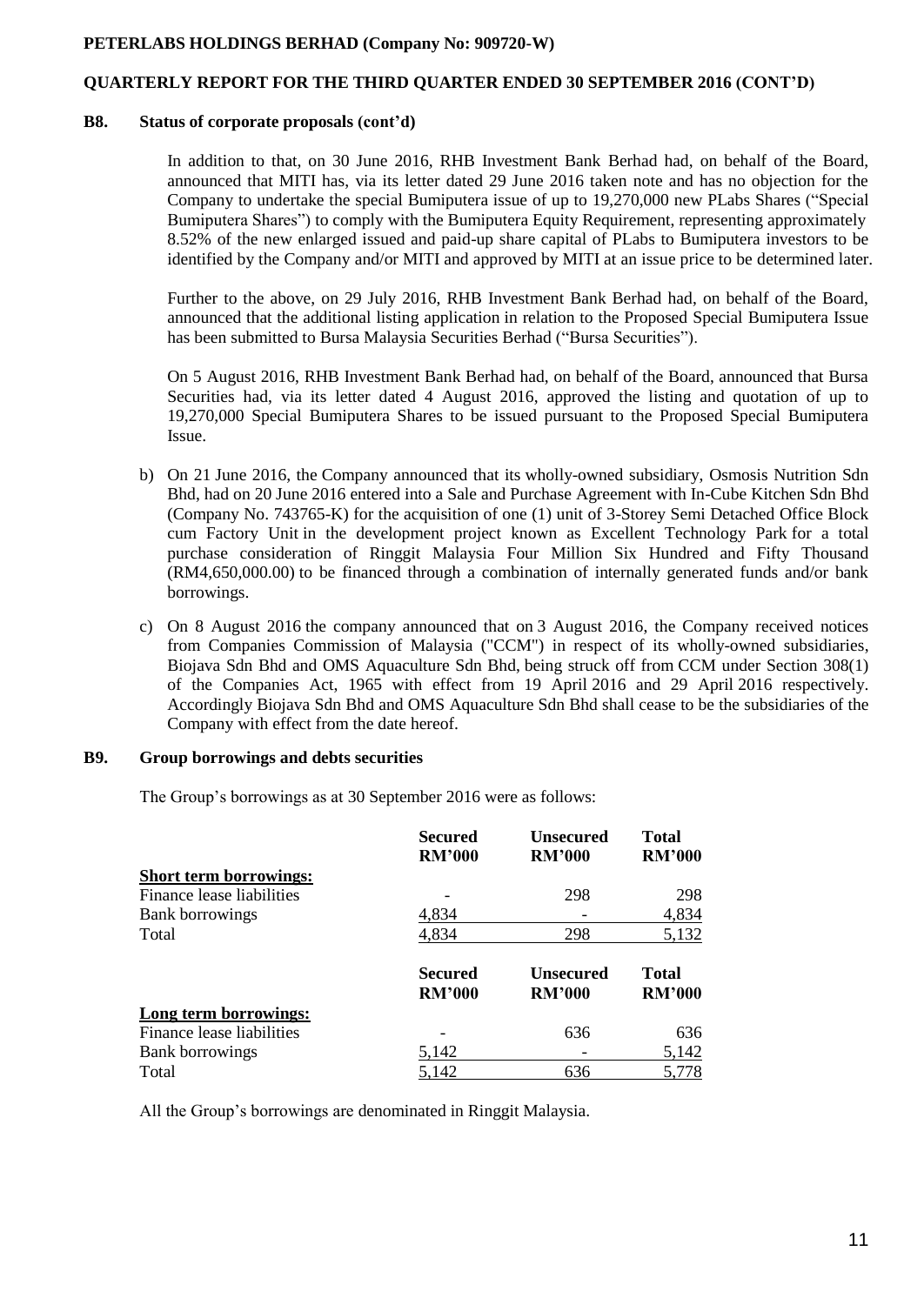## **QUARTERLY REPORT FOR THE THIRD QUARTER ENDED 30 SEPTEMBER 2016 (CONT'D)**

#### **B8. Status of corporate proposals (cont'd)**

In addition to that, on 30 June 2016, RHB Investment Bank Berhad had, on behalf of the Board, announced that MITI has, via its letter dated 29 June 2016 taken note and has no objection for the Company to undertake the special Bumiputera issue of up to 19,270,000 new PLabs Shares ("Special Bumiputera Shares") to comply with the Bumiputera Equity Requirement, representing approximately 8.52% of the new enlarged issued and paid-up share capital of PLabs to Bumiputera investors to be identified by the Company and/or MITI and approved by MITI at an issue price to be determined later.

Further to the above, on 29 July 2016, RHB Investment Bank Berhad had, on behalf of the Board, announced that the additional listing application in relation to the Proposed Special Bumiputera Issue has been submitted to Bursa Malaysia Securities Berhad ("Bursa Securities").

On 5 August 2016, RHB Investment Bank Berhad had, on behalf of the Board, announced that Bursa Securities had, via its letter dated 4 August 2016, approved the listing and quotation of up to 19,270,000 Special Bumiputera Shares to be issued pursuant to the Proposed Special Bumiputera Issue.

- b) On 21 June 2016, the Company announced that its wholly-owned subsidiary, Osmosis Nutrition Sdn Bhd, had on 20 June 2016 entered into a Sale and Purchase Agreement with In-Cube Kitchen Sdn Bhd (Company No. 743765-K) for the acquisition of one (1) unit of 3-Storey Semi Detached Office Block cum Factory Unit in the development project known as Excellent Technology Park for a total purchase consideration of Ringgit Malaysia Four Million Six Hundred and Fifty Thousand (RM4,650,000.00) to be financed through a combination of internally generated funds and/or bank borrowings.
- c) On 8 August 2016 the company announced that on 3 August 2016, the Company received notices from Companies Commission of Malaysia ("CCM") in respect of its wholly-owned subsidiaries, Biojava Sdn Bhd and OMS Aquaculture Sdn Bhd, being struck off from CCM under Section 308(1) of the Companies Act, 1965 with effect from 19 April 2016 and 29 April 2016 respectively. Accordingly Biojava Sdn Bhd and OMS Aquaculture Sdn Bhd shall cease to be the subsidiaries of the Company with effect from the date hereof.

#### **B9. Group borrowings and debts securities**

The Group's borrowings as at 30 September 2016 were as follows:

|                               | <b>Secured</b><br><b>RM'000</b> | <b>Unsecured</b><br><b>RM'000</b> | <b>Total</b><br><b>RM'000</b> |
|-------------------------------|---------------------------------|-----------------------------------|-------------------------------|
| <b>Short term borrowings:</b> |                                 |                                   |                               |
| Finance lease liabilities     |                                 | 298                               | 298                           |
| <b>Bank borrowings</b>        | 4,834                           |                                   | 4,834                         |
| Total                         | 4,834                           | 298                               | 5,132                         |
|                               | <b>Secured</b><br><b>RM'000</b> | <b>Unsecured</b><br><b>RM'000</b> | <b>Total</b><br><b>RM'000</b> |
| Long term borrowings:         |                                 |                                   |                               |
| Finance lease liabilities     |                                 | 636                               | 636                           |
| <b>Bank borrowings</b>        | 5,142                           |                                   | 5,142                         |
| Total                         | 5,142                           | 636                               | 5,778                         |

All the Group's borrowings are denominated in Ringgit Malaysia.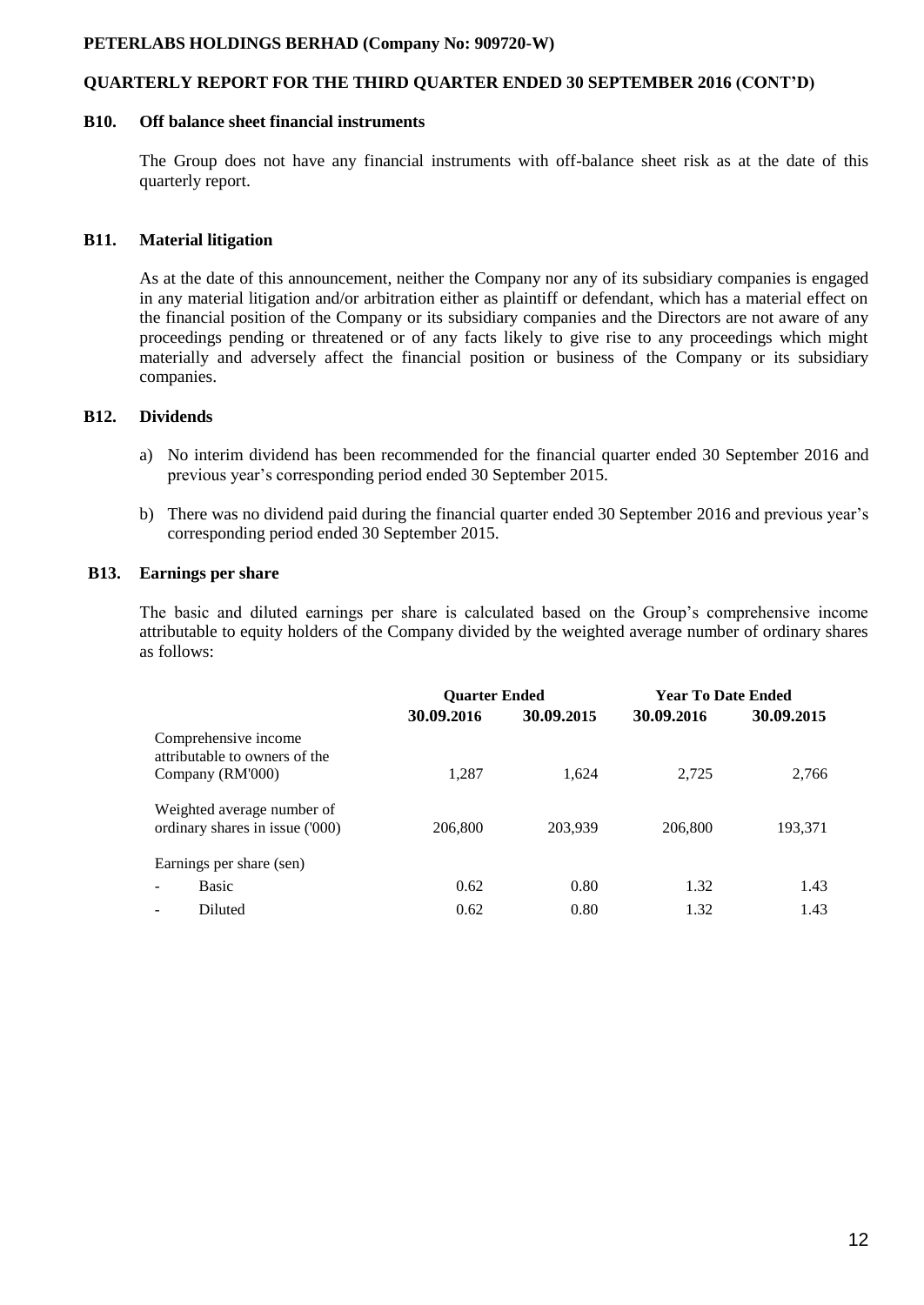## **QUARTERLY REPORT FOR THE THIRD QUARTER ENDED 30 SEPTEMBER 2016 (CONT'D)**

#### **B10. Off balance sheet financial instruments**

The Group does not have any financial instruments with off-balance sheet risk as at the date of this quarterly report.

## **B11. Material litigation**

As at the date of this announcement, neither the Company nor any of its subsidiary companies is engaged in any material litigation and/or arbitration either as plaintiff or defendant, which has a material effect on the financial position of the Company or its subsidiary companies and the Directors are not aware of any proceedings pending or threatened or of any facts likely to give rise to any proceedings which might materially and adversely affect the financial position or business of the Company or its subsidiary companies.

## **B12. Dividends**

- a) No interim dividend has been recommended for the financial quarter ended 30 September 2016 and previous year's corresponding period ended 30 September 2015.
- b) There was no dividend paid during the financial quarter ended 30 September 2016 and previous year's corresponding period ended 30 September 2015.

## **B13. Earnings per share**

The basic and diluted earnings per share is calculated based on the Group's comprehensive income attributable to equity holders of the Company divided by the weighted average number of ordinary shares as follows:

|                                                               | <b>Ouarter Ended</b> |            |            | <b>Year To Date Ended</b> |
|---------------------------------------------------------------|----------------------|------------|------------|---------------------------|
|                                                               | 30.09.2016           | 30.09.2015 | 30.09.2016 | 30.09.2015                |
| Comprehensive income<br>attributable to owners of the         |                      |            |            |                           |
| Company (RM'000)                                              | 1,287                | 1.624      | 2.725      | 2.766                     |
| Weighted average number of<br>ordinary shares in issue ('000) | 206,800              | 203,939    | 206,800    | 193,371                   |
| Earnings per share (sen)                                      |                      |            |            |                           |
| <b>Basic</b>                                                  | 0.62                 | 0.80       | 1.32       | 1.43                      |
| Diluted                                                       | 0.62                 | 0.80       | 1.32       | 1.43                      |